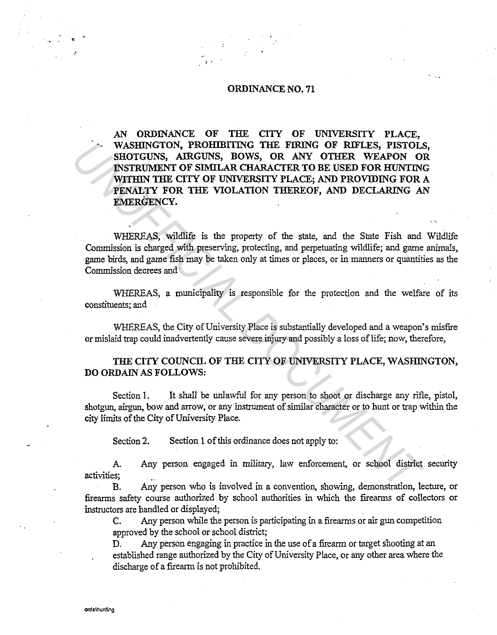## ORDINANCE NO. 71

 $\mathbf{I}$ 

AN ORDINANCE OF THE CITY OF UNIVERSITY PLACE, WASHINGTON, PROHIBITING THE FIRING OF RIFLES, PISTOLS, SHOTGUNS, AIRGUNS, BOWS, OR ANY OTHER WEAPON OR INSTRUMENT OF SIMILAR CHARACTER TO BE USED FOR HUNTING WITHIN THE CITY OF UNIVERSITY PLACE; AND PROVIDING FOR A PENALTY FOR THE VIOLATION THEREOF, AND DECLARING AN EMERGENCY. FORMINGTON, PROHIBITIVE THE TRING OF RETLES, PISTOLAL ANY CONFIGET AND MYTHON OF SINTLANCTING TO RET AND PROVIDING FOR MYTHON WITHIN THE CITY OF UNIVERSITY PLACE, AND PROVIDING FOR FORMALLY FOR THE VIOLATION THEREOF, AND D

WHEREAS, wildlife is the property of the state, and the State Fish and Wildlife Commission is charged with preserving, protecting, and perpetuating wildlife; and game animals, game birds, and game fish may be taken only at times or places, or in manners or quantities as the Commission decrees and

WHEREAS, a municipality is responsible for the protection and the welfare of its constituents; and

WHEREAS, the City of University Place is substantially developed and a weapon's misfire or mislaid trap could inadvertently cause severe injury and possibly a loss of life; now, therefore,

## THE CITY COUNCIL OF THE CITY OF UNIVERSITY PLACE, WASHINGTON, DO ORDAIN AS FOLLOWS:

Section 1. It shall be unlawful for any person to shoot or discharge any rifle, pistol, shotgun, airgun, bow and arrow, or any instrument of similar character or to hunt or trap within the city limits of the City of University Place.

Section 2. Section 1 of this ordinance does not apply to:

A. Any person engaged in military, law enforcement, or school district security activities; \_

B. Any person who is involved in a convention, showing, demonstration, lecture, or firearms safety course authorized by school authorities in which the firearms of collectors or instructors are handled or displayed;

C. Any person while the person is participating in a firearms or air gun competition approved by the school or school district;

D. Any person engaging in practice in the use of a firearm or target shooting at an established range authorized by the City of University Place, or any other area where the discharge of a firearm is not prohibited.

•